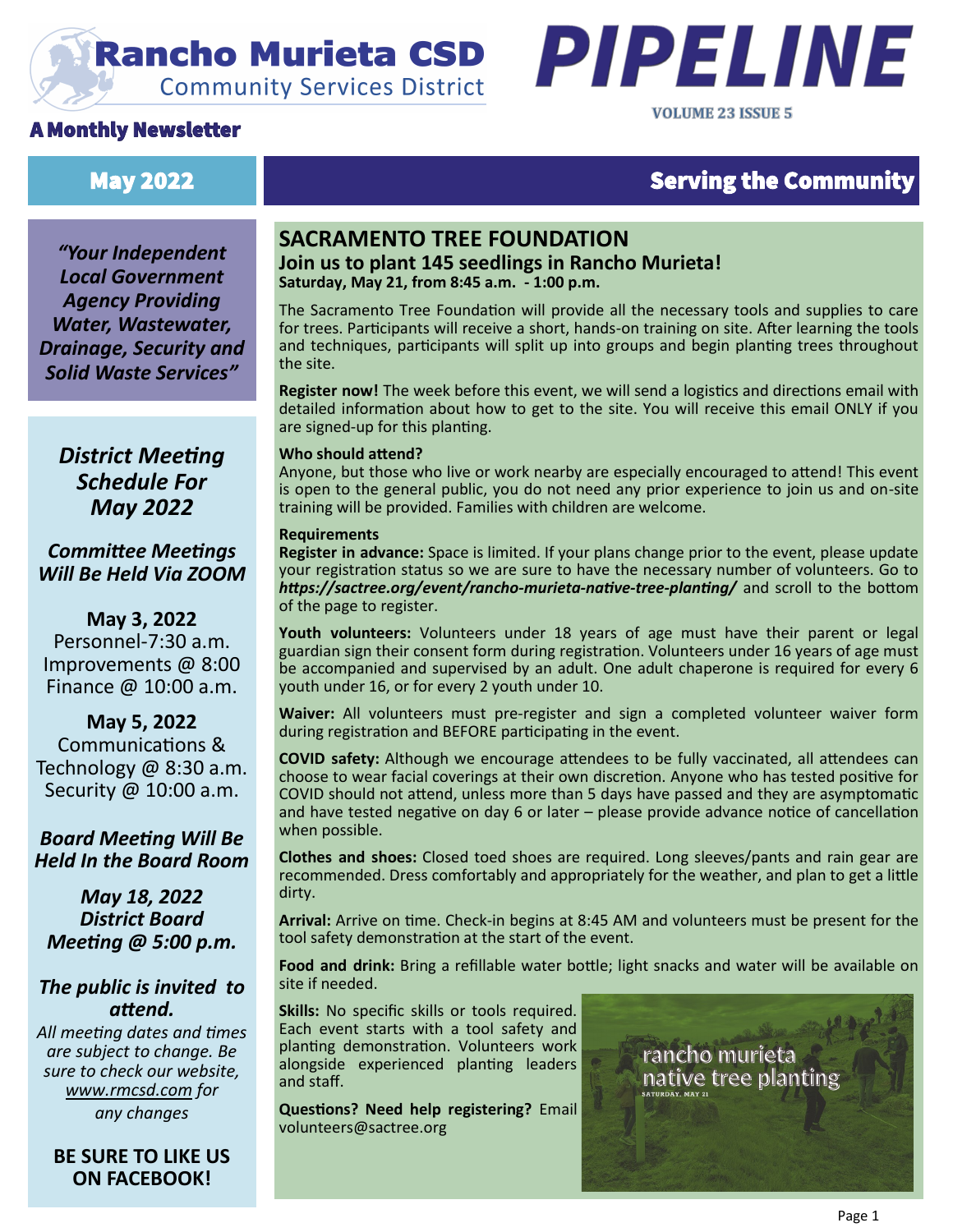# **Rancho Murieta CSD Community Services District**

# A Monthly Newsletter



# May 2022 **No. 2022 Serving the Community**

*"Your Independent Local Government Agency Providing Water, Wastewater, Drainage, Security and Solid Waste Services"*

*District Meeting Schedule For May 2022*

*Committee Meetings Will Be Held Via ZOOM*

**May 3, 2022** Personnel-7:30 a.m. Improvements @ 8:00 Finance @ 10:00 a.m.

**May 5, 2022** Communications & Technology @ 8:30 a.m. Security @ 10:00 a.m.

*Board Meeting Will Be Held In the Board Room* 

*May 18, 2022 District Board Meeting @ 5:00 p.m.*

# *The public is invited to attend.*

*All meeting dates and times are subject to change. Be sure to check our website, [www.rmcsd.com](http://www.rmcsd.com) for any changes*

**BE SURE TO LIKE US ON FACEBOOK!**

## **SACRAMENTO TREE FOUNDATION Join us to plant 145 seedlings in Rancho Murieta! Saturday, May 21, from 8:45 a.m. - 1:00 p.m.**

The Sacramento Tree Foundation will provide all the necessary tools and supplies to care for trees. Participants will receive a short, hands-on training on site. After learning the tools and techniques, participants will split up into groups and begin planting trees throughout the site.

**Register now!** The week before this event, we will send a logistics and directions email with detailed information about how to get to the site. You will receive this email ONLY if you are signed-up for this planting.

#### **Who should attend?**

Anyone, but those who live or work nearby are especially encouraged to attend! This event is open to the general public, you do not need any prior experience to join us and on-site training will be provided. Families with children are welcome.

#### **Requirements**

**Register in advance:** Space is limited. If your plans change prior to the event, please update your registration status so we are sure to have the necessary number of volunteers. Go to *https://sactree.org/event/rancho-murieta-native-tree-planting/* and scroll to the bottom of the page to register.

**Youth volunteers:** Volunteers under 18 years of age must have their parent or legal guardian sign their consent form during registration. Volunteers under 16 years of age must be accompanied and supervised by an adult. One adult chaperone is required for every 6 youth under 16, or for every 2 youth under 10.

**Waiver:** All volunteers must pre-register and sign a completed volunteer waiver form during registration and BEFORE participating in the event.

**COVID safety:** Although we encourage attendees to be fully vaccinated, all attendees can choose to wear facial coverings at their own discretion. Anyone who has tested positive for COVID should not attend, unless more than 5 days have passed and they are asymptomatic and have tested negative on day 6 or later – please provide advance notice of cancellation when possible.

**Clothes and shoes:** Closed toed shoes are required. Long sleeves/pants and rain gear are recommended. Dress comfortably and appropriately for the weather, and plan to get a little dirty.

**Arrival:** Arrive on time. Check-in begins at 8:45 AM and volunteers must be present for the tool safety demonstration at the start of the event.

**Food and drink:** Bring a refillable water bottle; light snacks and water will be available on site if needed.

**Skills:** No specific skills or tools required. Each event starts with a tool safety and planting demonstration. Volunteers work alongside experienced planting leaders and staff.

**Questions? Need help registering?** Email volunteers@sactree.org

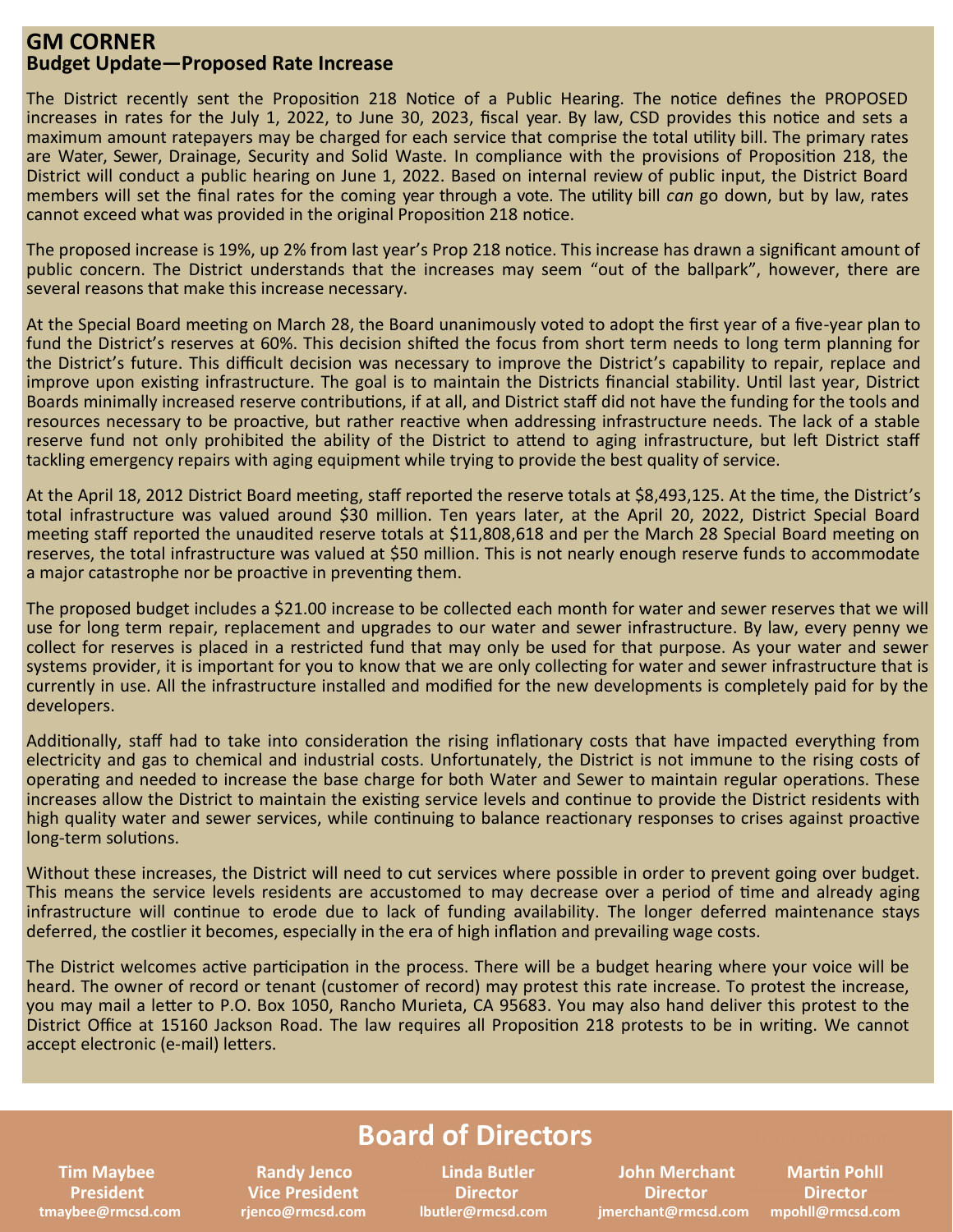#### **GM CORNER Budget Update—Proposed Rate Increase**

The District recently sent the Proposition 218 Notice of a Public Hearing. The notice defines the PROPOSED increases in rates for the July 1, 2022, to June 30, 2023, fiscal year. By law, CSD provides this notice and sets a maximum amount ratepayers may be charged for each service that comprise the total utility bill. The primary rates are Water, Sewer, Drainage, Security and Solid Waste. In compliance with the provisions of Proposition 218, the District will conduct a public hearing on June 1, 2022. Based on internal review of public input, the District Board members will set the final rates for the coming year through a vote. The utility bill *can* go down, but by law, rates cannot exceed what was provided in the original Proposition 218 notice.

The proposed increase is 19%, up 2% from last year's Prop 218 notice. This increase has drawn a significant amount of public concern. The District understands that the increases may seem "out of the ballpark", however, there are several reasons that make this increase necessary.

At the Special Board meeting on March 28, the Board unanimously voted to adopt the first year of a five-year plan to fund the District's reserves at 60%. This decision shifted the focus from short term needs to long term planning for the District's future. This difficult decision was necessary to improve the District's capability to repair, replace and improve upon existing infrastructure. The goal is to maintain the Districts financial stability. Until last year, District Boards minimally increased reserve contributions, if at all, and District staff did not have the funding for the tools and resources necessary to be proactive, but rather reactive when addressing infrastructure needs. The lack of a stable reserve fund not only prohibited the ability of the District to attend to aging infrastructure, but left District staff tackling emergency repairs with aging equipment while trying to provide the best quality of service.

At the April 18, 2012 District Board meeting, staff reported the reserve totals at \$8,493,125. At the time, the District's total infrastructure was valued around \$30 million. Ten years later, at the April 20, 2022, District Special Board meeting staff reported the unaudited reserve totals at \$11,808,618 and per the March 28 Special Board meeting on reserves, the total infrastructure was valued at \$50 million. This is not nearly enough reserve funds to accommodate a major catastrophe nor be proactive in preventing them.

The proposed budget includes a \$21.00 increase to be collected each month for water and sewer reserves that we will use for long term repair, replacement and upgrades to our water and sewer infrastructure. By law, every penny we collect for reserves is placed in a restricted fund that may only be used for that purpose. As your water and sewer systems provider, it is important for you to know that we are only collecting for water and sewer infrastructure that is currently in use. All the infrastructure installed and modified for the new developments is completely paid for by the developers.

Additionally, staff had to take into consideration the rising inflationary costs that have impacted everything from electricity and gas to chemical and industrial costs. Unfortunately, the District is not immune to the rising costs of operating and needed to increase the base charge for both Water and Sewer to maintain regular operations. These increases allow the District to maintain the existing service levels and continue to provide the District residents with high quality water and sewer services, while continuing to balance reactionary responses to crises against proactive long-term solutions.

Without these increases, the District will need to cut services where possible in order to prevent going over budget. This means the service levels residents are accustomed to may decrease over a period of time and already aging infrastructure will continue to erode due to lack of funding availability. The longer deferred maintenance stays deferred, the costlier it becomes, especially in the era of high inflation and prevailing wage costs.

The District welcomes active participation in the process. There will be a budget hearing where your voice will be heard. The owner of record or tenant (customer of record) may protest this rate increase. To protest the increase, you may mail a letter to P.O. Box 1050, Rancho Murieta, CA 95683. You may also hand deliver this protest to the District Office at 15160 Jackson Road. The law requires all Proposition 218 protests to be in writing. We cannot accept electronic (e-mail) letters.

# **Board of Directors**

**Linda Butler Director** 

 **Tim Maybee Randy Jenco Linda Butler Allen Butler Report Randy John Merchant President Vice President Director Director Director tmaybee@rmcsd.com rjenco@rmcsd.com lbutler@rmcsd.com jmerchant@rmcsd.com mpohll@rmcsd.com**

**Martin Pohll Director**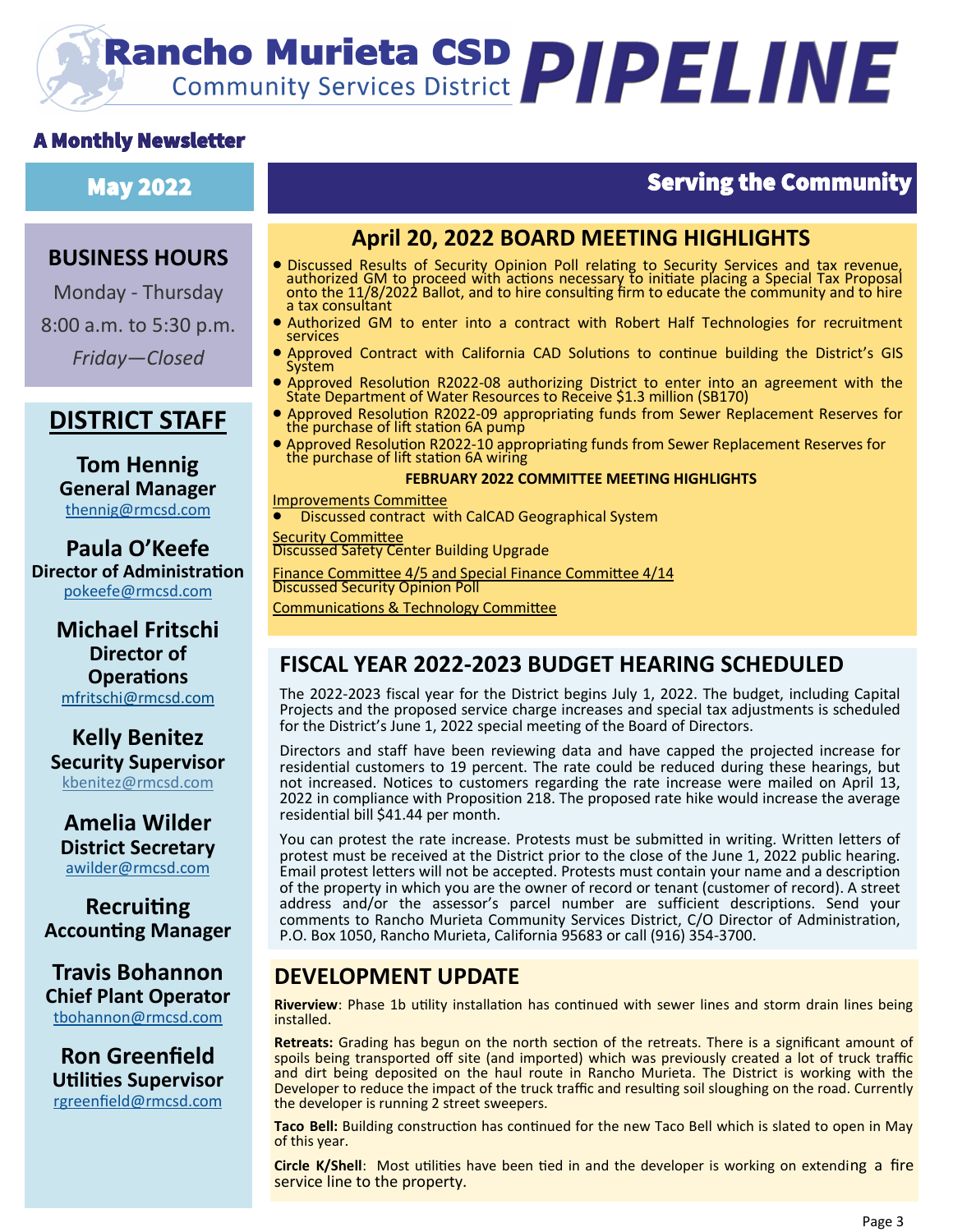# **Rancho Murieta CSD PIPELINE**

# A Monthly Newsletter

# May 2022 Serving the Community

# **BUSINESS HOURS**

Monday - Thursday 8:00 a.m. to 5:30 p.m. *Friday—Closed*

# **DISTRICT STAFF**

**Tom Hennig General Manager** [thennig@rmcsd.com](mailto:thennig@rmcsd.com)

**Paula O'Keefe Director of Administration** pokeefe@rmcsd.com

> **Michael Fritschi Director of Operations** mfritschi@rmcsd.com

**Kelly Benitez Security Supervisor** kbenitez@rmcsd.com

**Amelia Wilder District Secretary** [awilder@rmcsd.com](mailto:jwerblun@rmcsd.com)

**Recruiting Accounting Manager**

**Travis Bohannon Chief Plant Operator** [tbohannon@rmcsd.com](mailto:tbohannon@rmcsd.com)

**Ron Greenfield Utilities Supervisor** [rgreenfield@rmcsd.com](mailto:tbohannon@rmcsd.com)

# **April 20, 2022 BOARD MEETING HIGHLIGHTS**

- Discussed Results of Security Opinion Poll relating to Security Services and tax revenue, authorized GM to proceed with actions necessary to initiate placing a Special Tax Proposal onto the 11/8/2022 Ballot, and to hire consulting firm to educate the community and to hire a tax consultant
- Authorized GM to enter into a contract with Robert Half Technologies for recruitment services
- Approved Contract with California CAD Solutions to continue building the District's GIS System
- Approved Resolution R2022-08 authorizing District to enter into an agreement with the State Department of Water Resources to Receive \$1.3 million (SB170)
- Approved Resolution R2022-09 appropriating funds from Sewer Replacement Reserves for the purchase of lift station 6A pump
- Approved Resolution R2022-10 appropriating funds from Sewer Replacement Reserves for the purchase of lift station 6A wiring

#### **FEBRUARY 2022 COMMITTEE MEETING HIGHLIGHTS**

 Improvements Committee • Discussed contract with CalCAD Geographical System

**Security Committee** Discussed Safety Center Building Upgrade

Finance Committee 4/5 and Special Finance Committee 4/14 Discussed Security Opinion Poll Communications & Technology Committee

# **FISCAL YEAR 2022-2023 BUDGET HEARING SCHEDULED**

The 2022-2023 fiscal year for the District begins July 1, 2022. The budget, including Capital Projects and the proposed service charge increases and special tax adjustments is scheduled for the District's June 1, 2022 special meeting of the Board of Directors.

Directors and staff have been reviewing data and have capped the projected increase for residential customers to 19 percent. The rate could be reduced during these hearings, but not increased. Notices to customers regarding the rate increase were mailed on April 13, 2022 in compliance with Proposition 218. The proposed rate hike would increase the average residential bill \$41.44 per month.

You can protest the rate increase. Protests must be submitted in writing. Written letters of protest must be received at the District prior to the close of the June 1, 2022 public hearing. Email protest letters will not be accepted. Protests must contain your name and a description of the property in which you are the owner of record or tenant (customer of record). A street address and/or the assessor's parcel number are sufficient descriptions. Send your comments to Rancho Murieta Community Services District, C/O Director of Administration, P.O. Box 1050, Rancho Murieta, California 95683 or call (916) 354-3700.

# **DEVELOPMENT UPDATE**

**Riverview**: Phase 1b utility installation has continued with sewer lines and storm drain lines being installed.

**Retreats:** Grading has begun on the north section of the retreats. There is a significant amount of spoils being transported off site (and imported) which was previously created a lot of truck traffic and dirt being deposited on the haul route in Rancho Murieta. The District is working with the Developer to reduce the impact of the truck traffic and resulting soil sloughing on the road. Currently the developer is running 2 street sweepers.

**Taco Bell:** Building construction has continued for the new Taco Bell which is slated to open in May of this year.

**Circle K/Shell**: Most utilities have been tied in and the developer is working on extending a fire service line to the property.